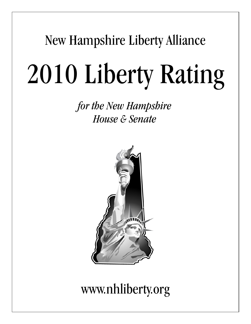## New Hampshire Liberty Alliance

# 2010 Liberty Rating

*for the New Hampshire House & Senate*



## www.nhliberty.org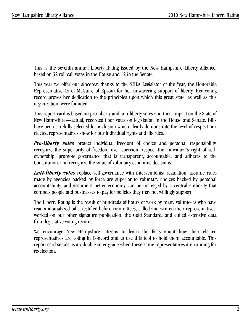This is the seventh annual Liberty Rating issued by the New Hampshire Liberty Alliance, based on 52 roll call votes in the House and 12 in the Senate.

This year we offer our sincerest thanks to the NHLA Legislator of the Year, the Honorable Representative Carol McGuire of Epsom for her unwavering support of liberty. Her voting record proves her dedication to the principles upon which this great state, as well as this organization, were founded.

This report card is based on pro-liberty and anti-liberty votes and their impact on the State of New Hampshire—actual, recorded floor votes on legislation in the House and Senate. Bills have been carefully selected for inclusion which clearly demonstrate the level of respect our elected representatives show for our individual rights and liberties.

*Pro-liberty votes* protect individual freedom of choice and personal responsibility, recognize the superiority of freedom over coercion, respect the individual's right of selfownership, promote governance that is transparent, accountable, and adheres to the Constitution, and recognize the value of voluntary economic decisions.

*Anti-liberty votes* replace self-governance with interventionist regulation, assume rules made by agencies backed by force are superior to voluntary choices backed by personal accountability, and assume a better economy can be managed by a central authority that compels people and businesses to pay for policies they may not willingly support.

The Liberty Rating is the result of hundreds of hours of work by many volunteers who have read and analyzed bills, testified before committees, called and written their representatives, worked on our other signature publication, the Gold Standard, and culled extensive data from legislative voting records.

We encourage New Hampshire citizens to learn the facts about how their elected representatives are voting in Concord and to use this tool to hold them accountable. This report card serves as a valuable voter guide when these same representatives are running for re-election.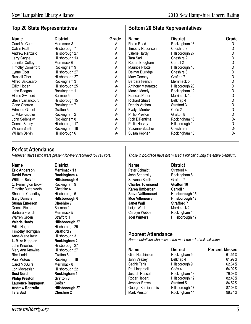**Bottom 20 State Representatives**

## **Top 20 State Representatives**

| <b>Name</b>              | <b>District</b> | Grade | <b>Name</b>              | <b>District</b> | Grade |
|--------------------------|-----------------|-------|--------------------------|-----------------|-------|
| Carol McGuire            | Merrimack 8     | A     | Robin Read               | Rockingham 16   | D     |
| <b>Calvin Pratt</b>      | Hillsborough 7  | А     | <b>Timothy Robertson</b> | Cheshire 3      |       |
| Andrew Renzullo          | Hillsborough 27 | A     | Valerie Hardy            | Hillsborough 27 |       |
| Larry Gagne              | Hillsborough 13 | А     | Tara Sad                 | Cheshire 2      |       |
| Jennifer Coffey          | Merrimack 6     | А     | Robert Bridgham          | Carroll 2       |       |
| <b>Timothy Comerford</b> | Rockingham 9    | Α     | Maurice Pilotte          | Hillsborough 16 | D     |
| Lynne Ober               | Hillsborough 27 | Α     | Delmar Burridge          | Cheshire 3      |       |
| Russell Ober             | Hillsborough 27 | A     | Mary Cooney              | Grafton 7       |       |
| Alfred Baldasaro         | Rockingham 3    | A-    | Barbara French           | Merrimack 5     |       |
| Edith Hogan              | Hillsborough 25 | A-    | Anthony Matarazzo        | Hillsborough 20 |       |
| John Reagan              | Rockingham 1    | A-    | Marcia Moody             | Rockingham 12   |       |
| Elaine Swinford          | Belknap 5       | A-    | <b>Frances Potter</b>    | Merrimack 10    |       |
| Steve Vaillancourt       | Hillsborough 15 | A-    | <b>Richard Stuart</b>    | Belknap 4       |       |
| Gene Charron             | Rockingham 7    | A-    | Dennis Vachon            | Strafford 3     |       |
| <b>Edmond Gionet</b>     | Grafton 3       | A-    | Evalyn Merrick           | Coös 2          |       |
| L. Mike Kappler          | Rockingham 2    | A-    | <b>Philip Preston</b>    | Grafton 8       |       |
| John Sedensky            | Rockingham 8    | A-    | Rich DiPentima           | Rockingham 16   | D-    |
| Connie Soucy             | Hillsborough 17 | A-    | Philip Harvey            | Hillsborough 1  | D-    |
| <b>William Smith</b>     | Rockingham 18   | A-    | Suzanne Butcher          | Cheshire 3      | D-    |
| <b>William Belvin</b>    | Hillsborough 6  | А-    | Susan Kepner             | Rockingham 15   | D-    |

## **Perfect Attendance**

*Representatives who were present for every recorded roll call vote.*

**Name District Eric Anderson Merrimack 13 David Bates Rockingham 4 William Belvin**<br> **C.** Pennington Brown Rockingham 9 C. Pennington Brown Timothy Butterworth Cheshire 4<br>
Shannon Chandley Hillsborough 6 Shannon Chandley<br>Gary Daniels **Susan Emerson**<br> **Cheshire 7**<br> **Cheshire 2**<br> **Cheshire 2** Dennis Fields<br>
Barbara French<br>
Merrimack 5 Barbara French Warren Groen Strafford 1 **Valerie Hardy Hillsborough 27** Edith Hogan Hillsborough 25 **Timothy Horrigan Strafford 7**<br> **Anne-Marie Irwin Hillsborough 3** Anne-Marie Irwin **L. Mike Kappler Rockingham 2** John Knowles **Hillsborough 27**<br>Mary Ann Knowles Hillsborough 27 Mary Ann Knowles Rick Ladd Grafton 5 Paul McEachern Rockingham 16 Carol McGuire Merrimack 8 Lori Movsesian Hillsborough 22 **Susi Nord Rockingham 1 Philip Preston Laurence Rappaport Coös 1 Andrew Renzullo Hillsborough 27**

**Hillsborough 6 Cheshire 2** 

*Those in boldface have not missed a roll call during the entire biennium.*

**Name District** Peter Schmidt Strafford 4 John Sedensky Rockingham 8 Suzanne Smith Grafton 7 **Charles Townsend Grafton 10 Karen Umberger Carroll 1 Steve Vaillancourt Hillsborough 15 Moe Villeneuve Hillsborough 18 Janet Wall Strafford 7** Leigh Webb Merrimack 2 Carolyn Webber Rockingham 4 **Joel Winters Hillsborough 17**

### **Poorest Attendance**

*Representatives who missed the most recorded roll call votes.*

| <b>Name</b>         | <b>District</b> | <b>Percent Missed</b> |
|---------------------|-----------------|-----------------------|
| Gina Hutchinson     | Rockingham 5    | 61.51%                |
| John Veazey         | Belknap 4       | 61.92%                |
| Saghir Tahir        | Hillsborough 9  | 62.34%                |
| Paul Ingersoll      | Coös 4          | 64.02%                |
| Joseph Russell      | Rockingham 13   | 79.08%                |
| Roger Hebert        | Hillsborough 12 | 82.43%                |
| Jennifer Brown      | Strafford 5     | 84.52%                |
| George Katsiantonis | Hillsborough 17 | 87.03%                |
| <b>Mark Preston</b> | Rockingham 14   | 98.74%                |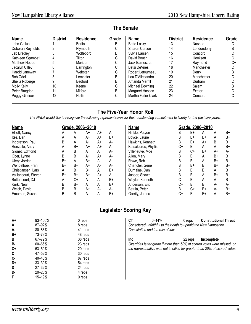| Name              | <b>District</b> | <b>Residence</b> | Grade | <b>Name</b>          | <b>District</b> | <b>Residence</b> | Grade |
|-------------------|-----------------|------------------|-------|----------------------|-----------------|------------------|-------|
| John Gallus       |                 | <b>Berlin</b>    | B     | Bette Lasky          | 13              | Nashua           |       |
| Deborah Reynolds  |                 | Plymouth         | С     | Sharon Carson        | 14              | Londonderry      | R     |
| Jeb Bradlev       |                 | Wolfeboro        | B     | Sylvia Larsen        | 15              | Concord          |       |
| Kathleen Sgambati |                 | Tilton           | С     | David Boutin         | 16              | Hooksett         | C+    |
| Matthew Houde     |                 | Meriden          | С     | Jack Barnes, Jr.     | 17              | Raymond          | C+    |
| Jacalyn Cilley    |                 | Barrington       | C     | <b>Betsi DeVries</b> | 18              | Manchester       | C.    |
| Harold Janeway    |                 | Webster          | С     | Robert Letourneau    | 19              | Derry            | R     |
| Bob Odell         |                 | Lempster         | B     | Lou D'Allesandro     | 20              | Manchester       |       |
| Sheila Roberge    |                 | Bedford          | B     | Amanda Merrill       | 21              | Durham           |       |
| Molly Kelly       | 10              | Keene            | С     | Michael Downing      | 22              | Salem            |       |
| Peter Bragdon     | 11              | Milford          | B     | Margaret Hassan      | 23              | Exeter           |       |
| Peggy Gilmour     | 12              | <b>Hollis</b>    | С     | Martha Fuller Clark  | 24              | Concord          |       |

## **The Senate**

## **The Five-Year Honor Roll**

*The NHLA would like to recognize the following representatives for their outstanding commitment to liberty for the past five years.*

| <b>Name</b>          |    |      | Grade, 2006-2010 |    |      | <b>Name</b>          |    | Grade, 2006-2010 |      |    |      |
|----------------------|----|------|------------------|----|------|----------------------|----|------------------|------|----|------|
| Elliott, Nancy       | А  | Α    | A+               | A+ | А-   | Hinkle, Petyon       | B  | B+               | Α    | А- | $B+$ |
| Itse, Dan            | A  | Α    | A+               | A+ | $B+$ | Boyce, Laurie        | B  | B+               | B+   | A  | $B+$ |
| Ingbretson, Paul     | B+ | A    | A+               | A+ | А-   | Hawkins, Kenneth     | B  | B+               | A+   | B  | $B+$ |
| Renzullo, Andy       | A  | B+   | A+               | A+ | $A-$ | Katsakiores, Phyllis | C+ | B                | А    | А- | $B+$ |
| Gionet, Edmond       | A  | B    | A                | A  | A-   | Villeneuve, Moe      | B  | C+               | B+   | A+ | A-   |
| Ober, Lynne          | B  | B    | A+               | A+ | А-   | Allen, Mary          | B  | В                | А    | B+ | B    |
| Ulery, Jordan        | B+ | Α    | B+               | A  | А-   | Rowe, Rob            | B  | B                | Α    | B+ | B    |
| Wendelboe, Fran      | B+ | $B+$ | A+               | А- | A-   | Chandler, Gene       | B  | $B+$             | B    | B+ | $B+$ |
| Christiansen, Lars   | A  | B+   | $B+$             | A  | $B+$ | Dumaine, Dan         | B  | B                | B    | A  | B    |
| Vaillancourt, Steven | B+ | B+   | $B+$             | A+ | А-   | Jasper, Shawn        | B  | B                | Α    | B+ | B-   |
| Bettencourt, DJ      | Α  | C+   | A                | A  | $B+$ | Weyler, Kenneth      |    | B                | A    | Α  | B    |
| Kurk, Neal           | B  | B+   | A                | A  | $B+$ | Anderson, Eric       | C+ | B                | B    | A- | А-   |
| Welch, David         | B  | B    | A+               | А- | A-   | Batula, Peter        | B  | C+               | $B+$ | А- | $B+$ |
| Emerson, Susan       | B  | B    | A                | A  | $B+$ | Garrity, James       | C+ | B                | B+   | А- | B+   |

## **Legislator Scoring Key**

| $A+$<br>A | 93-100%<br>87–92% | 0 reps<br>8 reps | СT<br>$0 - 14%$<br>Considered unfaithful to their oath to uphold the New Hampshire | 0 reps  | <b>Constitutional Threat</b> |
|-----------|-------------------|------------------|------------------------------------------------------------------------------------|---------|------------------------------|
| А-        | 80-86%            | 41 reps          | Constitution and the rule of law.                                                  |         |                              |
| B+        | 73–79%            | 48 reps          |                                                                                    |         |                              |
| B         | 67–72%            | 38 reps          | <b>Inc</b>                                                                         | 22 reps | Incomplete                   |
| В-        | 60-66%            | 23 reps          | Overrides letter grade if more than 50% of scored votes were missed, or            |         |                              |
| C+        | 53-59%            | 20 reps          | the representative was not in office for greater than 20% of scored votes.         |         |                              |
| C         | 47–52%            | 30 reps          |                                                                                    |         |                              |
| C-        | 40–46%            | 87 reps          |                                                                                    |         |                              |
| D+        | 33-39%            | 54 reps          |                                                                                    |         |                              |
| D         | 27-32%            | 24 reps          |                                                                                    |         |                              |
| D-        | $20 - 26%$        | 4 reps           |                                                                                    |         |                              |
| F         | 15–19%            | 0 reps           |                                                                                    |         |                              |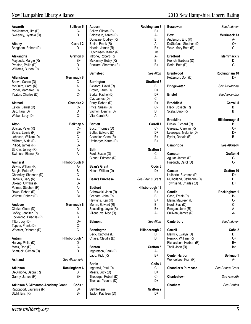| <b>Acworth</b>                                | Sullivan 5         | <b>Auburn</b>          | Rockingham 3       | <b>Boscawen</b>            | See Andover       |
|-----------------------------------------------|--------------------|------------------------|--------------------|----------------------------|-------------------|
| McClammer, Jim (D)                            | $C-$               | Bailey, Clinton (R)    | B+                 |                            |                   |
| Sweeney, Cynthia (D)                          | D+                 | Baldasaro, Alfred (R)  | A-                 | <b>Bow</b>                 | Merrimack 13      |
|                                               |                    | Dumaine, Dudley (R)    | В                  | Anderson, Eric (R)         | A-                |
| Albany                                        | <b>Carroll 2</b>   | Emiro, Frank (R)       | А-                 | DeStefano, Stephen (D)     | C+                |
|                                               | D                  | Headd, James (R)       | B+                 |                            | $C -$             |
| Bridgham, Robert (D)                          |                    |                        |                    | Walz, Mary Beth (R)        |                   |
|                                               |                    | Hutchinson, Karen (R)  | Inc                |                            |                   |
| Alexandria                                    | Grafton 8          | Introne, Robert (R)    | А-                 | <b>Bradford</b>            | Merrimack 5       |
| Maybeck, Margie (R)                           | B+                 | McKinney, Betsy (R)    | В                  | French, Barbara (D)        | D                 |
| Preston, Philip (D)                           | D                  | Packard, Sherman (R)   | B+                 | Rodd, Beth (D)             | $C -$             |
| Williams, Burton (R)                          | B                  |                        |                    |                            |                   |
|                                               |                    | <b>Barnstead</b>       | See Alton          | <b>Brentwood</b>           | Rockingham 10     |
| Allenstown                                    | <b>Merrimack 8</b> |                        |                    | Petterson, Don (D)         | D+                |
| Brown, Carole (D)                             | C-                 | <b>Barrington</b>      | <b>Strafford 3</b> |                            |                   |
| McGuire, Carol (R)                            |                    | Bickford, David (R)    |                    | <b>Bridgewater</b>         | See Alexandria    |
|                                               | Α                  |                        | В                  |                            |                   |
| Porter, Margaret (D)                          | $C -$              | Brown, Larry (D)       | D+                 |                            |                   |
| Yeaton, Charles (D)                           | $C -$              | Burke, Rachel (D)      | D+                 | Bristol                    | See Alexandria    |
|                                               |                    | Cyr, James (D)         | С                  |                            |                   |
| Alstead                                       | <b>Cheshire 2</b>  | Perry, Robert (D)      | D+                 | <b>Brookfield</b>          | Carroll 5         |
| Eaton, Daniel (D)                             | C-                 | Price, Susan (D)       | $C -$              | Fleck, Joseph (R)          | B+                |
| Sad, Tara (D)                                 | D                  | Vachon, Dennis (D)     | D                  | Scala, Dino (R)            | B                 |
| Weber, Lucy (D)                               | $C -$              | Vita, Carol (R)        | А-                 |                            |                   |
|                                               |                    |                        |                    | <b>Brookline</b>           | Hillsborough 5    |
| Alton                                         | Belknap 5          | <b>Bartlett</b>        | Carroll 1          | Drisko, Richard (R)        | B                 |
|                                               |                    |                        |                    |                            |                   |
| Bolster, Peter (R)                            | C+                 | Buco, Thomas (D)       | C-                 | Gargasz, Carolyn (R)       | C+                |
| Boyce, Laurie (R)                             | $B+$               | Butler, Edward (D)     | D+                 | Levesque, Melanie (D)      | D+                |
| Johnson, William (D)                          | $C -$              | Chandler, Gene (R)     | B+                 | Ryder, Donald (R)          | B.                |
| Millham, Alida (R)                            | $C+$               | Umberger, Karen (R)    | B+                 |                            |                   |
| Pilliod, James (R)                            | <b>B-</b>          |                        |                    | Cambridge                  | See Atkinson      |
| St. Cyr, Jeffrey (R)                          | А-                 | <b>Bath</b>            | Grafton 3          |                            |                   |
| Swinford, Elaine (R)                          | A-                 | Ford, Susan (D)        | C-                 | Campton                    | Grafton 6         |
|                                               |                    | Gionet, Edmond (R)     | А-                 | Aguiar, James (D)          | C-                |
| <b>Amherst</b>                                | Hillsborough 6     |                        |                    | Friedrich, Carol (D)       | $C-$              |
|                                               |                    |                        |                    |                            |                   |
| Belvin, William (R)                           | A-                 | <b>Bean's Grant</b>    | Coös 3             |                            |                   |
| Bergin, Peter (R)                             | <b>B-</b>          | Hatch, William (D)     | D+                 | Canaan                     | Grafton 10        |
| Chandley, Shannon (D)                         | C-                 |                        |                    | Laliberte, Suzanne (D)     | D+                |
| Daniels, Gary (R)                             | А-                 | <b>Bean's Purchase</b> | See Bean's Grant   | Mulholland, Catherine (D)  | D                 |
| Dokmo, Cynthia (R)                            | <b>B-</b>          |                        |                    | Townsend, Charles (D)      | D+                |
| Palmer, Stephen (R)                           | А-                 | <b>Bedford</b>         | Hillsborough 18    |                            |                   |
| Rowe, Robert (R)                              | B                  | Cebrowski, John (R)    | B+                 | Candia                     | Rockingham 1      |
| Willette, Robert (R)                          | $B+$               | Graham, John (R)       | В                  | Case, Frank (R)            | B-                |
|                                               |                    | Hawkins, Ken (R)       | B+                 | Mann, Maureen (D)          | C-                |
|                                               |                    |                        | B                  |                            | C-                |
| Andover                                       | Merrimack 6        | Moran, Edward (R)      |                    | Nord, Susi (D)             |                   |
| Clarke, Claire (D)                            | D                  | Spaulding, Jayne (R)   | B+                 | Reagan, John (R)           | А-                |
| Coffey, Jennifer (R)                          | Α                  | Villeneuve, Moe (R)    | A-                 | Sullivan, James (R)        | A-                |
| Lockwood, Priscilla (R)                       | B                  |                        |                    |                            |                   |
| Tilton, Joy (D)                               | D+                 | <b>Belmont</b>         | See Alton          | Canterbury                 | See Andover       |
| Tupper, Frank (D)                             | $C -$              |                        |                    |                            |                   |
| Wheeler, Deborah (D)                          | C                  | <b>Bennington</b>      | Hillsborough 2     | Carroll                    | Coös <sub>2</sub> |
|                                               |                    | Beck, Catriona (D)     | D                  | Merrick, Evalyn (D)        | D                 |
| Antrim                                        | Hillsborough 1     | Chase, Claudia (D)     | D                  | Remick, William (R)        | $C+$              |
|                                               |                    |                        |                    | Richardson, Herbert (R)    | B+                |
| Harvey, Philip (D)                            | D-                 |                        |                    |                            |                   |
| Mack, Ron (D)                                 | $C-$               | Benton                 | Grafton 5          | Tholl, John (R)            | Inc               |
| Shattuck, Gilman (D)                          | D+                 | Ingbretson, Paul (R)   | A-                 |                            |                   |
|                                               |                    | Ladd, Rick (R)         | B+                 | <b>Center Harbor</b>       | Belknap 1         |
| Ashland                                       | See Alexandria     |                        |                    | Wendelboe, Fran (R)        | A-                |
|                                               |                    | Berlin                 | Coös 4             |                            |                   |
| <b>Atkinson</b>                               | Rockingham 6       | Ingersoll, Paul (D)    | С                  | <b>Chandler's Purchase</b> | See Bean's Grant  |
| DeSimone, Debra (R)                           | B                  | Mears, Lucy (D)        | D+                 |                            |                   |
| Garrity, James (R)                            | B+                 | Theberge, Robert (D)   | $C -$              | Charlestown                | See Acworth       |
|                                               |                    |                        |                    |                            |                   |
|                                               |                    | Thomas, Yvonne (D)     | D+                 |                            |                   |
| <b>Atkinson &amp; Gilmanton Academy Grant</b> | Coös 1             |                        |                    | Chatham                    | See Bartlett      |
| Rappaport, Laurence (R)                       | B+                 | <b>Bethlehem</b>       | <b>Grafton 2</b>   |                            |                   |
| Stohl, Eric (R)                               | <b>B-</b>          | Taylor, Kathleen (D)   | D+                 |                            |                   |
|                                               |                    |                        |                    |                            |                   |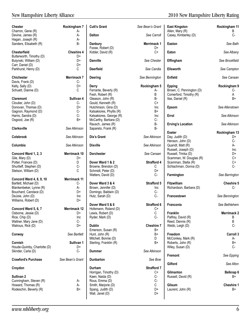| Chester<br>Charron, Gene (R)                | Rockingham 7<br>А-       | <b>Cutt's Grant</b>                       | See Bean's Grant        | <b>East Kingston</b><br>Allen, Mary (R)            | Rockingham 11<br>В |
|---------------------------------------------|--------------------------|-------------------------------------------|-------------------------|----------------------------------------------------|--------------------|
| Devine, James (R)                           | А-                       | <b>Dalton</b>                             | See Carroll             | Casey, Kimberley (D)                               | $C-$               |
| Hagan, Joseph (R)<br>Sanders, Elisabeth (R) | А-<br>$B -$              | Danbury<br>Foose, Robert (D)              | Merrimack 1<br>D+       | Easton                                             | See Bath           |
| Chesterfield<br>Butterworth, Timothy (D)    | <b>Cheshire 4</b><br>D+  | Kidder, David (R)                         | $C+$                    | Eaton                                              | See Albany         |
| Butynski, William (D)<br>Carr, Daniel (D)   | D+<br>D+                 | <b>Danville</b>                           | See Chester             | Effingham                                          | See Brookfield     |
| Parkhurst, Henry (D)                        | C                        | <b>Deerfield</b>                          | See Candia              | <b>Ellsworth</b>                                   | See Campton        |
| <b>Chichester</b><br>Davis, Frank (D)       | <b>Merrimack 7</b><br>C- | Deering                                   | See Bennington          | Enfield                                            | See Canaan         |
| Kelly, Sally (D)                            | $D+$                     | Derry                                     | Rockingham 5            | <b>Epping</b>                                      | Rockingham 9       |
| Schuett, Dianne (D)                         | С                        | Ferrante, Beverly (R)<br>Fesh, Robert (R) | А-<br>B                 | Brown, C. Pennington (D)<br>Comerford, Timothy (R) | C-<br>A            |
| <b>Claremont</b>                            | Sullivan 4               | Gleason, John (R)                         | <b>B-</b>               | Itse, Daniel (R)                                   | B+                 |
| Cloutier, John (D)                          | $C-$                     | Gould, Kenneth (R)                        | $C+$                    |                                                    |                    |
| Donovan, Thomas (D)                         | D+                       | Hutchinson, Gina (D)                      | Inc                     | Epsom                                              | See Allenstown     |
| Gagnon, Raymond (D)                         | $C -$                    | Katsakiores, Phyllis (R)                  | B+                      |                                                    |                    |
| Harris, Sandra (D)                          | $C -$                    | Katsakiores, George (R)                   | Inc                     | Errol                                              | See Atkinson       |
| Osgood, Joe (R)                             | $B+$                     | McCarthy, Barbara (D)                     | $C -$                   |                                                    |                    |
|                                             |                          | Rausch, James (R)                         | <b>B-</b>               | <b>Erving's Location</b>                           | See Atkinson       |
| <b>Clarksville</b>                          | See Atkinson             | Sapareto, Frank (R)                       | $B -$                   |                                                    |                    |
|                                             |                          |                                           |                         | <b>Exeter</b>                                      | Rockingham 13      |
| Colebrook                                   | See Atkinson             | Dix's Grant                               | See Atkinson            | Day, Judith (D)                                    | D+                 |
|                                             |                          |                                           |                         | Henson, John (D)                                   | $C-$               |
| Columbia                                    | See Atkinson             | <b>Dixville</b>                           | See Atkinson            | Quandt, Matt (R)                                   | A-                 |
|                                             |                          |                                           |                         | Russell, Joseph (D)                                | Inc                |
| Concord Ward 1, 2, 3                        | Merrimack 10             | <b>Dorchester</b>                         | See Canaan              | Russell, Trinka (D)                                | D+                 |
| Gile, Mary (D)                              | D+                       |                                           |                         | Scamman, W. Douglas (R)                            | $C+$               |
| Potter, Frances (D)                         | D<br>$C-$                | Dover Ward 1 & 2<br>Browne, Brendon (D)   | <b>Strafford 4</b><br>C | Scamman, Stella (R)<br>Schlachman, Donna (D)       | $C+$<br>$C -$      |
| Shurtleff, Stephen (D)                      | C                        | Schmidt, Peter (D)                        | D+                      |                                                    |                    |
| Stetson, William (D)                        |                          | Watters, David (D)                        | C-                      | Farmington                                         |                    |
| <b>Concord Ward 4, 8, 9, 10</b>             | Merrimack 11             |                                           |                         |                                                    | See Barrington     |
| Bartlett, Michael (D)                       | C-                       | Dover Ward 3 & 4                          | Strafford 5             | <b>Fitzwilliam</b>                                 | Cheshire 5         |
| Blankenbeker, Lynne (R)                     | А-                       | Brown, Jennifer (D)                       | Inc                     | Richardson, Barbara (D)                            | $C-$               |
| Bouchard, Candace (D)                       | D+                       | Domingo, Baldwin (D)                      | C-                      |                                                    |                    |
| DeJoie, John (D)                            | Inc                      | Hutz, Sarah (D)                           | $C -$                   | Francestown                                        | See Bennington     |
| Williams, Robert (D)                        | D+                       |                                           |                         |                                                    |                    |
|                                             |                          | Dover Ward 5 & 6                          | <b>Strafford 6</b>      | Franconia                                          | See Bethlehem      |
| Concord Ward 5, 6, 7                        | Merrimack 12             | Hofemann, Roland (D)                      | C+                      |                                                    |                    |
| Osborne, Jessie (D)                         | D+                       | Lewis, Robert (D)                         | $\mathbb C$             | Franklin                                           | <b>Merrimack 2</b> |
| Rice, Chip (D)                              | Inc                      | Ryder, Mark (D)                           | $C-$                    | Palfrey, David (R)                                 | B                  |
| Wallner, Mary Jane (D)                      | C-                       |                                           |                         | Reed, Dennis (R)                                   | B                  |
| Watrous, Rick (D)                           | D+                       | <b>Dublin</b>                             | <b>Cheshire 7</b>       | Webb, Leigh (D)                                    | $C-$               |
|                                             |                          | Emerson, Susan (R)                        | B+                      |                                                    |                    |
| Conway                                      | See Bartlett             | Hunt, John (R)                            | B+                      | Freedom                                            | Carroll 3          |
|                                             |                          | Mitchell, Bonnie (D)                      | D                       | McConkey, Mark (R)                                 | А-                 |
| Cornish                                     | Sullivan 1               | Sterling, Franklin (R)                    | $B+$                    | Roberts, John (R)                                  | B+                 |
| Houde-Quimby, Charlotte (D)                 | D+                       |                                           |                         | Wiley, Susan (D)                                   | C-                 |
| Skinder, Carla (D)                          | C-                       | <b>Dummer</b>                             | See Atkinson            |                                                    |                    |
| <b>Crawford's Purchase</b>                  | See Bean's Grant         | <b>Dunbarton</b>                          | See Bow                 | Fremont                                            | See Epping         |
|                                             |                          |                                           |                         | Gilford                                            | See Alton          |
| Croydon                                     |                          | Durham                                    | <b>Strafford 7</b>      |                                                    |                    |
|                                             |                          | Horrigan, Timothy (D)                     | C+                      | Gilmanton                                          | Belknap 6          |
| Sullivan 2                                  |                          | Kaen, Naida (D)                           | $C -$                   | Russell, David (R)                                 | B+                 |
| Cunningham, Steven (R)                      | A-                       | Rous, Emma (D)                            | C-                      |                                                    |                    |
| Howard, Thomas (R)                          | А-                       | Smith, Marjorie (D)                       | C                       | Gilsum                                             | <b>Cheshire 1</b>  |
| Rodeschin, Beverly (R)                      | $B+$                     | Spang, Judith (D)                         | D+                      | Laurent, John (R)                                  | B+                 |
|                                             |                          | Wall, Janet (D)                           | D+                      |                                                    |                    |
|                                             |                          |                                           |                         |                                                    |                    |

## New Hampshire Liberty Alliance 2010 New Hampshire Liberty Rating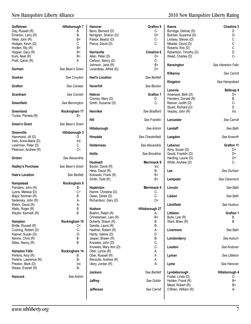| Goffstown<br>Day, Russell (R)<br>Emerton, Larry (R)<br>Hikel, John (R)<br>Hodges, Kevin (D)<br>Holden, Rip (R)<br>Hopper, Gary (R)<br>Kurk, Neal (R)<br>Pratt, Calvin (R) | Hillsborough 7<br>B<br>В-<br>B+<br>C<br>B+<br>B+<br>B+<br>A | Han<br>Ben<br>Nor<br>Pas<br>Pier<br>Har<br>Alle<br>Carl      |
|---------------------------------------------------------------------------------------------------------------------------------------------------------------------------|-------------------------------------------------------------|--------------------------------------------------------------|
| Gorham                                                                                                                                                                    | See Bean's Grant                                            | Joh<br>Lera                                                  |
| Goshen                                                                                                                                                                    | See Croydon                                                 | Har                                                          |
| Grafton                                                                                                                                                                   | See Canaan                                                  | Hav                                                          |
| Grantham                                                                                                                                                                  | See Comish                                                  | Heb<br>Cod                                                   |
| Greenfield                                                                                                                                                                | See Bennington                                              | Smi                                                          |
| Greenland<br>Tucker, Pamela (R)                                                                                                                                           | Rockingham 17<br>B+                                         | Hen                                                          |
| Green's Grant                                                                                                                                                             | See Bean's Grant                                            | Hill                                                         |
| Greenville                                                                                                                                                                | Hillsborough 3                                              | Hill:                                                        |
| Hammond, Jill (D)<br>Irwin, Anne-Marie (D)                                                                                                                                | D<br>Inc                                                    | Hin:                                                         |
| Leishman, Peter (D)<br>Peterson, Andrew (R)                                                                                                                               | С<br>C+                                                     | Hol                                                          |
| Groton                                                                                                                                                                    | See Alexandria                                              | Hol                                                          |
| <b>Hadley's Purchase</b>                                                                                                                                                  | See Bean's Grant                                            | Hoc<br>Bou                                                   |
| <b>Hale's Location</b>                                                                                                                                                    | See Bartlett                                                | Hes<br>Koto<br>Smi                                           |
| Hampstead<br>Flanders, John (R)<br>Lyons, Melissa (D)<br>Major, Norman (R)<br>Sedensky, John (R)<br>Welch, David (R)<br>Wells, Roger (R)<br>Weyler, Kenneth (R)           | Rockingham 8<br>В-<br>C+<br>B<br>А-<br>A-<br>В<br>B         | Hop<br>Han<br>Ow<br>Rich<br>Huc<br>Boe                       |
| <b>Hampton</b><br>Bridle, Russell (R)<br>Cushing, Robert (D)<br>Kepner, Susan (D)<br>Nevins, Chris (R)<br>Stiles, Nancy (R)<br><b>Hampton Falls</b>                       | Rockingham 15<br>C+<br>C-<br>D-<br>B<br>B<br>Rockingham 14  | Chri<br>Doh<br>Gar<br>Hae<br>Har<br>Jas<br>Kno<br>Kno<br>Obe |
| Perkins, Amy (R)<br>Perkins, Lawrence (R)<br>Preston, Mark (D)<br>Weare, Everett (R)                                                                                      | B<br>В-<br>Inc<br>В-                                        | Obe<br>Ren<br>Uler                                           |
| Hancock                                                                                                                                                                   | See Antrim                                                  | Jac                                                          |
|                                                                                                                                                                           |                                                             | Jaff                                                         |

| <b>Hanover</b>                              | Grafton 9             | Ke          |
|---------------------------------------------|-----------------------|-------------|
| Benn, Bernard (D)                           | C-<br>D+              | Bur         |
| Nordgren, Sharon (D)<br>Pastor, Beatriz (D) | С-                    | But<br>Lino |
| Pierce, David (D)                           | C-                    | Me          |
|                                             |                       | Rot         |
| Harrisville                                 | <b>Cheshire 6</b>     | Rot         |
| Allen, Peter (D)                            | D+                    | We          |
| Carlson, Nancy (D)                          | C-                    |             |
| Johnson, Jane (R)                           | B+                    | Keı         |
| Lerandeau, Alfred (D)                       | D+                    |             |
|                                             |                       | Kill        |
| <b>Hart's Location</b>                      | See Bartlett          | Kin         |
| Haverhill                                   | See Benton            |             |
|                                             |                       | Lac         |
| <b>Hebron</b>                               | <b>Grafton 7</b>      | Ars         |
| Cooney, Mary (D)                            | D                     | Flar        |
| Smith, Suzanne (D)                          | C-                    | Ree         |
|                                             |                       | Stu         |
| Henniker                                    | See Bradford          | Vea         |
| Hill                                        | See Franklin          | Lar         |
| Hillsborough                                | See Antrim            | Lar         |
| <b>Hinsdale</b>                             | See Chesterfield      | Lar         |
| <b>Holderness</b>                           | See Alexandria        | Let         |
|                                             |                       | Alm         |
| <b>Hollis</b>                               | See Brookline         | Gol<br>Har  |
| <b>Hooksett</b>                             | Merrimack 9           | Wh          |
| Boutin, David (R)                           | Inc                   |             |
| Hess, David (R)                             | B-                    | Lee         |
| Kotowski, Frank (R)                         | B+                    |             |
| Smith, Todd (R)                             | B+                    | Ler         |
| Hopkinton                                   | Merrimack 4           | Lin         |
| Hamm, Christine (D)                         | С-                    |             |
| Owen, Derek (D)                             | C-                    | Lis         |
| Richardson, Gary (D)                        | D+                    |             |
| Hudson                                      |                       | Litc        |
| Boehm, Ralph (R)                            | Hillsborough 27<br>A- | Litt        |
| Christiansen, Lars (R)                      | В÷                    | Bul         |
| Doherty, Shaun (R)                          | B                     | Wa          |
| Gandia, Laura (R)                           | В-                    |             |
| Haefner, Robert (R)                         | А-                    | Liv         |
| Hardy, Valerie (D)                          | D                     |             |
| Jasper, Shawn (R)                           | <b>B-</b>             | Lor         |
| Knowles, John (D)                           | C-                    |             |
| Knowles, Mary Ann (D)                       | C-                    | Lοι         |
| Ober, Lynne (R)                             | A                     |             |
| Ober, Russell (R)                           | A<br>A                | Lyr         |
| Renzullo, Andrew (R)<br>Ulery, Jordan (R)   | А-                    | Lyn         |
| <b>Jackson</b>                              | See Bartlett          | Lyr         |
| Jaffrey                                     | See Dublin            | Fos<br>Hol  |
| Jefferson                                   | See Carroll           | Me<br>ΟΈ    |
|                                             |                       |             |
|                                             |                       |             |

## New Hampshire Liberty Alliance 2010 New Hampshire Liberty Rating

| afton 9             | Keene                                    | Cheshire 3        |
|---------------------|------------------------------------------|-------------------|
| C-                  | Burridge, Delmar (D)                     | D                 |
| D+                  | Butcher, Suzanne (D)                     | D-                |
| C-                  | Lindsey, Steven (D)                      | С                 |
| C-                  | Meader, David (D)                        | C                 |
|                     | Roberts, Kris (D)                        | C                 |
| shire 6:            | Robertson, Timothy (D)                   | D                 |
| D+                  | Weed, Charles (D)                        | $C -$             |
| C-                  |                                          |                   |
| B+                  | Kensington                               | See Hampton Falls |
| D+                  |                                          |                   |
|                     | Kilkenny                                 | See Carroll       |
| <b>Bartlett</b>     |                                          |                   |
|                     | Kingston                                 | See Hampstead     |
| Benton              |                                          |                   |
|                     | Laconia                                  | Belknap 4         |
| afton 7             | Arsenault, Beth (D)                      | D+                |
| D<br>C-             | Flanders, Donald (R)                     | B                 |
|                     | Reever, Judith (D)                       | C-<br>D           |
| radford             | Stuart, Richard (D)<br>Veazey, John (R)  | Inc               |
|                     |                                          |                   |
| Franklin            | Lancaster                                | See Carroll       |
|                     |                                          |                   |
| Antrim              | Landaff                                  | See Bath          |
|                     |                                          |                   |
| sterfield           | Langdon                                  | See Acworth       |
|                     |                                          |                   |
| xandria             | Lebanon                                  | Grafton 11        |
|                     | Almy, Susan (D)                          | D+                |
| ookline             | Gould, Franklin (D)                      | D+                |
|                     | Harding, Laurie (D)                      | D+                |
| mack 9<br>Inc       | White, Andrew (D)                        | C-                |
| B-                  | Lee                                      | See Durham        |
| B+                  |                                          |                   |
| B+                  | Lempster                                 | See Claremont     |
|                     |                                          |                   |
| mack 4              | Lincoln                                  | See Bath          |
| C-                  |                                          |                   |
| $C -$               | Lisbon                                   | See Bath          |
| D+                  |                                          |                   |
|                     | Litchfield                               | See Hudson        |
| <sub>'</sub> ugh 27 |                                          |                   |
| А-                  | Littleton                                | <b>Grafton 1</b>  |
| B+                  | Bulis, Lyle (R)                          | В                 |
| B<br><b>B-</b>      | Ward, Brien (R)                          | B                 |
| A-                  | Livermore                                | See Bath          |
| D                   |                                          |                   |
| <b>B-</b>           | Londonderry                              | See Auburn        |
| C-                  |                                          |                   |
| C-                  | Loudon                                   | See Andover       |
| A                   |                                          |                   |
| A                   | Lyman                                    | See Littleton     |
| A                   |                                          |                   |
| А-                  | Lyme                                     | See Hanover       |
|                     |                                          |                   |
| Bartlett            | Lyndeborough                             | Hillsborough 4    |
|                     | Foster, Linda (D)                        | С-                |
| : Dublin            | Holden, Frank (R)                        | B+<br>B+          |
| Carroll             | Mead, Robert (R)<br>O'Brien, William (R) | А-                |
|                     |                                          |                   |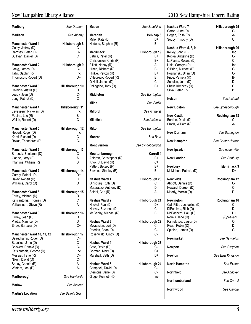| Madbury                                   | See Durham       | <b>Mason</b>                               | See Brookline    | Nashua Ward 7<br>Caron, June (D)       | Hillsborough 25<br>C- |
|-------------------------------------------|------------------|--------------------------------------------|------------------|----------------------------------------|-----------------------|
| <b>Madison</b>                            | See Albany       | <b>Meredith</b><br>Miller, Kate (D)        | Belknap 3<br>D+  | Hogan, Edith (R)<br>Soucy, Timothy (D) | А-<br>C               |
| <b>Manchester Ward 1</b>                  | Hillsborough 8   | Nedeau, Stephen (R)                        | B                |                                        |                       |
| Goley, Jeffrey (D)                        | С                |                                            |                  | Nashua Ward 5, 8, 9                    | Hillsborough 26       |
| Ramsey, Peter (D)                         | $C -$            | Merrimack                                  | Hillsborough 19  | Kelley, John (D)                       | Inc                   |
| Sullivan, Daniel (D)                      | С                | Batula, Peter (R)                          | $B+$             | Kopka, Angeline (D)                    | $C -$                 |
|                                           |                  | Christensen, Chris (R)                     | B+               | LaPlante, Roland (D)                   | C                     |
| <b>Manchester Ward 2</b>                  | Hillsborough 9   | Elliott, Nancy (R)                         | A-               | Lisle, Carolyn (D)                     | Inc                   |
| Craig, James (D)                          | C-               | Hinch, Richard (R)                         | <b>B-</b>        | O'Brien, Michael (D)                   | C-                    |
| Tahir, Saghir (R)                         | Inc              | Hinkle, Peyton (R)                         | $B+$             | Poznanski, Brian (D)                   | $C -$                 |
| Thompson, Robert (D)                      | D+               | L'Heureux, Robert (R)<br>O'Neil, James (D) | B<br>C           | Price, Pamela (R)<br>Schulze, Joan (D) | B-<br>D               |
| <b>Manchester Ward 3</b>                  | Hillsborough 10  | Pellegrino, Tony (R)                       | B+               | Shaw, Kimberly (D)                     | С                     |
| Chininis, Alexis (D)                      | D                |                                            |                  | Silva, Peter (R)                       | B                     |
| Jeudy, Jean (D)                           | $C-$             | Middleton                                  | See Barrington   |                                        |                       |
| Long, Patrick (D)                         | C                |                                            |                  | Nelson                                 | See Alstead           |
|                                           |                  | Milan                                      | See Berlin       |                                        |                       |
| <b>Manchester Ward 4</b>                  | Hillsborough 11  |                                            |                  | <b>New Boston</b>                      | See Lyndeborough      |
| Levasseur, Nickolas (D)                   | Inc              | <b>Milford</b>                             | See Amherst      |                                        |                       |
| Pepino, Leo (R)                           | В                |                                            |                  | <b>New Castle</b>                      | Rockingham 18         |
| Walsh, Robert (D)                         | $C -$            | <b>Millsfield</b>                          | See Atkinson     | Borden, David (D)                      | $C-$                  |
|                                           |                  |                                            |                  | Smith, William (R)                     | А-                    |
| <b>Manchester Ward 5</b>                  | Hillsborough 12  | <b>Milton</b>                              | See Barrington   |                                        |                       |
| Hebert, Roger (D)<br>Komi, Richard (D)    | <b>Inc</b><br>С  | Monroe                                     | See Bath         | <b>New Durham</b>                      | See Barrington        |
| Rokas, Theodoros (D)                      | C-               |                                            |                  | <b>New Hampton</b>                     | See Center Harbor     |
|                                           |                  | <b>Mont Vernon</b>                         | See Lyndeborough |                                        |                       |
| <b>Manchester Ward 6</b>                  | Hillsborough 13  |                                            |                  | New Ipswich                            | See Greenville        |
| Baroody, Benjamin (D)                     | C-               | Moultonborough                             | Carroll 4        |                                        |                       |
| Gagne, Larry (R)                          | A                | Ahlgren, Christopher (R)                   | B+               | New London                             | See Danbury           |
| Infantine, William (R)                    | B                | Knox, J. David (R)                         | $C+$             |                                        |                       |
|                                           |                  | Patten, Betsey (R)                         | B+               | Newbury                                | Merrimack 3           |
| <b>Manchester Ward 7</b>                  | Hillsborough 14  | Stevens, Stanley (R)                       | B                | McMahon, Patricia (D)                  | D+                    |
| Garrity, Patrick (D)<br>Haley, Robert (D) | D+<br>С          | Nashua Ward 1                              | Hillsborough 20  | <b>Newfields</b>                       | Rockingham 12         |
| Williams, Carol (D)                       | D+               | Ginsburg, Ruth (D)                         | С                | Abbott, Dennis (D)                     | C-                    |
|                                           |                  | Matarazzo, Anthony (D)                     | D                | Howard, Doreen (D)                     | $C-$                  |
| <b>Manchester Ward 8</b>                  | Hillsborough 15  | Seidel, Carl (R)                           | A-               | Moody, Marcia (D)                      | D                     |
| Farley, Michael (D)                       | D+               |                                            |                  |                                        |                       |
| Katsiantonis, Thomas (D)                  | С                | Nashua Ward 2                              | Hillsborough 21  | Newington                              | Rockingham 16         |
| Vaillancourt, Steve (R)                   | A-               | Hackel, Paul (D)                           | D+               | Cali-Pitts, Jacqueline (D)             | С                     |
|                                           |                  | Harvey, Suzanne (D)                        | $C -$            | DiPentima, Rich (D)                    | D-                    |
| <b>Manchester Ward 9</b>                  | Hillsborough 16  | McCarthy, Michael (R)                      | B                | McEachern, Paul (D)                    | D+                    |
| Flurey, Joan (D)                          | D+               |                                            |                  | Norelli, Terie (D)                     | (Speaker)             |
| Pilotte, Maurice (D)                      | D                | Nashua Ward 3                              | Hillsborough 22  | Pantelakos, Laura (D)                  | C-                    |
| Shaw, Barbara (D)                         | C+               | Movsesian, Lori (D)<br>Rhodes, Brian (D)   | C-<br>$C-$       | Read, Robin (D)<br>Splaine, James (D)  | D<br>$C -$            |
| Manchester Ward 10, 11, 12                | Hillsborough 17  | Rosenwald, Cindy (D)                       | $C -$            |                                        |                       |
| Beauchamp, Roger (D)                      | C+               |                                            |                  | Newmarket                              | See Newfields         |
| Beaulieu, Jane (D)                        | С                | Nashua Ward 4                              | Hillsborough 23  |                                        |                       |
| Boisvert, Ronald (D)                      | $C -$            | Cote, David (D)                            | C-               | Newport                                | See Croydon           |
| Katsiantonis, George (D)                  | Inc              | Gorman, Mary (D)                           | C+               |                                        |                       |
| Messier, Irene (R)                        | C+               | Marshall, Seth (D)                         | D+               | Newton                                 | See East Kingston     |
| Nixon, David (D)                          | $C -$            |                                            |                  |                                        |                       |
| Soucy, Connie (R)                         | A-               | Nashua Ward 6                              | Hillsborough 24  | <b>North Hampton</b>                   | See Exeter            |
| Winters, Joel (D)                         | A-               | Campbell, David (D)<br>Clemons, Jane (D)   | C-<br>$C-$       | Northfield                             | See Andover           |
| Marlborough                               | See Harrisville  | Gidge, Kenneth (D)                         | Inc              |                                        |                       |
|                                           |                  |                                            |                  | Northumberland                         | See Carroll           |
| <b>Marlow</b>                             | See Alstead      |                                            |                  |                                        |                       |
|                                           |                  |                                            |                  | Northwood                              | See Candia            |
| <b>Martin's Location</b>                  | See Bean's Grant |                                            |                  |                                        |                       |
|                                           |                  |                                            |                  |                                        |                       |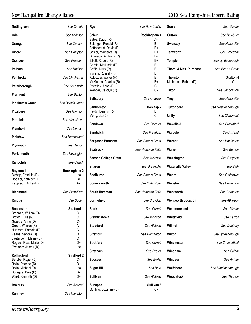| Nottingham                                       | See Candia               | Rye                                             | See New Castle    | <b>Surry</b>              | See Gilsum         |
|--------------------------------------------------|--------------------------|-------------------------------------------------|-------------------|---------------------------|--------------------|
| Odell                                            | See Atkinson             | <b>Salem</b>                                    | Rockingham 4      | <b>Sutton</b>             | See Newbury        |
| Orange                                           | See Canaan               | Bates, David (R)<br>Belanger, Ronald (R)        | А-<br><b>B-</b>   | Swanzey                   | See Harrisville    |
| Orford                                           | See Campton              | Bettencourt, David (R)<br>Crisler, Margaret (R) | $B+$<br>B+        | <b>Tamworth</b>           | See Freedom        |
| Ossipee                                          | See Freedom              | DiFruscia, Anthony (R)<br>Elliott, Robert (R)   | B-<br>B+          | <b>Temple</b>             | See Lyndeborough   |
| Pelham                                           | See Hudson               | Garcia, Marilinda (R)<br>Griffin, Mary (R)      | <b>B-</b><br>B    | Thom. & Mes. Purchase     | See Bean's Grant   |
| <b>Pembroke</b>                                  | See Chichester           | Ingram, Russell (R)<br>Kolodziej, Walter (R)    | B<br>B            | <b>Thornton</b>           | Grafton 4          |
| Peterborough                                     | See Greenville           | McMahon, Charles (R)<br>Priestley, Anne (R)     | $B+$<br>С         | Matheson, Robert (D)      | C-                 |
| Piermont                                         | See Benton               | Webber, Carolyn (D)                             | $C -$             | <b>Tilton</b>             | See Sanbomton      |
| <b>Pinkham's Grant</b>                           | See Bean's Grant         | <b>Salisbury</b>                                | See Andover       | <b>Troy</b>               | See Harrisville    |
| Pittsburg                                        | See Atkinson             | Sanbornton<br>Fields, Dennis (R)                | Belknap 2<br>В    | <b>Tuftonboro</b>         | See Moultonborough |
| <b>Pittsfield</b>                                | See Allenstown           | Merry, Liz (D)                                  | $C -$             | <b>Unity</b>              | See Claremont      |
| Plainfield                                       | See Cornish              | Sandown                                         | See Chester       | Wakefield                 | See Brookfield     |
| Plaistow                                         | See Hampstead            | Sandwich                                        | See Freedom       | Walpole                   | See Alstead        |
|                                                  | See Hebron               | <b>Sargent's Purchase</b>                       | See Bean's Grant  | Warner                    | See Hopkinton      |
| Plymouth                                         |                          | <b>Seabrook</b>                                 | See Hampton Falls | Warren                    | See Benton         |
| Portsmouth                                       | See Newington            | <b>Second College Grant</b>                     | See Atkinson      | Washington                | See Croydon        |
| Randolph                                         | See Carroll              | <b>Sharon</b>                                   | See Greenville    | <b>Waterville Valley</b>  | See Bath           |
| Raymond<br>Bishop, Franklin (R)                  | Rockingham 2<br>Inc      | Shelburne                                       | See Bean's Grant  | Weare                     | See Goffstown      |
| Hoelzel, Kathleen (R)<br>Kappler, L. Mike (R)    | B+<br>А-                 | Somersworth                                     | See Rollinsford   | Webster                   | See Hopkinton      |
| Richmond                                         | See Fitzwilliam          | South Hampton                                   | See Hampton Falls | Wentworth                 | See Campton        |
| Rindge                                           | See Dublin               | Springfield                                     | See Croydon       | <b>Wentworth Location</b> | See Atkinson       |
| Rochester                                        | <b>Strafford 1</b>       | <b>Stark</b>                                    | See Carroll       | Westmoreland              | See Gilsum         |
| Brennan, William (D)                             | С                        |                                                 |                   |                           |                    |
| Brown, Julie (R)<br>Grassie, Anne (D)            | С<br>$C-$                | Stewartstown                                    | See Atkinson      | Whitefield                | See Carroll        |
| Groen, Warren (R)<br>Hubbard, Pamela (D)         | А-<br>C-                 | <b>Stoddard</b>                                 | See Alstead       | Wilmot                    | See Danbury        |
| Keans, Sandra (D)                                | D+                       | <b>Strafford</b>                                | See Barrington    | Wilton                    | See Lyndeborough   |
| Lauterborn, Elaine (D)<br>Rogers, Rose Marie (D) | C+<br>D+                 | <b>Stratford</b>                                | See Carroll       | Winchester                | See Chesterfield   |
| Twombly, James (R)                               | Inc                      | <b>Stratham</b>                                 | See Exeter        | Windham                   | See Salem          |
| Rollinsford<br>Berube, Roger (D)                 | <b>Strafford 2</b><br>C- | <b>Success</b>                                  | See Berlin        | Windsor                   | See Antrim         |
| Rollo, Deanna (D)<br>Rollo, Michael (D)          | D+<br>Inc                | <b>Sugar Hill</b>                               | See Bath          | Wolfeboro                 | See Moultonborough |
| Sprague, Dale (D)                                | B-                       |                                                 |                   |                           |                    |
| Ward, Kenneth (D)                                | D+                       | Sullivan                                        | See Alstead       | Woodstock                 | See Thorton        |
| Roxbury                                          | See Alstead              | <b>Sunapee</b><br>Gottling, Suzanne (D)         | Sullivan 3<br>C-  |                           |                    |
| Rumney                                           | See Campton              |                                                 |                   |                           |                    |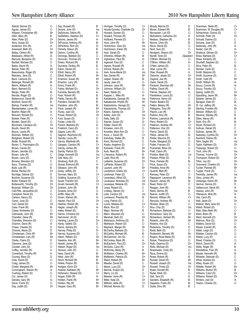Abbott, Dennis (D) C-<br>Aquiar, James (D) C-Aguiar, James  $(D)$  C-<br>Ahlaren. Christopher (R) B+ Ahlgren, Christopher  $(R)$ Allen, Mary (R) B Allen, Peter (D) D+<br>Almy, Susan (D) D+ Almy, Susan (D) D+<br>Anderson, Eric (R) A-Anderson, Eric (R) <br>Arsenault, Beth (D) D+ Arsenault, Beth (D) Bailey, Clinton (R) B+<br>Baldasaro, Alfred (R) A-<br>Baroody, Benjamin (D) C-Baldasaro, Alfred (R) Baroody, Benjamin (D) C-<br>Bartlett, Michael (D) C-Bartlett, Michael (D) Bates, David (R) <br>Batula, Peter (R) B+ Batula, Peter (R) B+<br>Beauchamp, Roger (D) C+ Beauchamp, Roger (D) C-<br>Beaulieu, Jane (D) C-Beaulieu, Jane (D) C<br>Beck, Catriona (D) D Beck, Catriona (D) D<br>Belanger, Ronald (R) B-Belanger, Ronald (R) B-<br>Belvin, William (R) B-<br>Benn, Bernard (D) C-Belvin, William (R) Benn, Bernard (D) C-<br>Bergin, Peter (R) B-Bergin, Peter (R)<br>Bergin, Peter (R)<br>Berube, Roger (D) C-Berube, Roger  $(D)$  C-<br>Bettencourt David (R) B+ Bettencourt, David (R) Bickford, David (R) B<br>Bishon, Franklin (R) B B Inc Bishop, Franklin (R) lno<br>Blankenbeker, Lynne (R) A-Blankenbeker, Lynne (R) Boehm, Ralph (R)<br>
Boisvert, Ronald (D)<br>
Bolster, Peter (R)<br>
Borden, David (D)<br>
C-Boisvert, Ronald (D) Bolster, Peter (R) Borden, David (D) Bouchard, Candace (D) D+<br>Boutin, David (R) lnc Boutin, David  $(R)$  Inc<br>Boyce, Laurie  $(R)$  B+ Boyce, Laurie (R) B-<br>Brennan, William (D) C Brennan, William (D) C<br>Bridgham, Robert (D) D Bridgham, Robert (D) D<br>Bridle, Russell (R) C+ Bridle, Russell (R) (C+<br>Brown, C. Pennington (D) (C-Brown, C. Pennington (D) C-<br>Brown, Carole (D) C-Brown, Carole (D) Brown, Jennifer (D) lnc<br>Brown, Julie (R) C Brown, Julie (R) C<br>Brown, Larry (D) D+ Brown, Larry (D) D+<br>Browne, Brendon (D) C Browne, Brendon (D)<br>Buco, Thomas (D) C-<br>Bulis, Lyle (R) B Buco, Thomas (D) Bulis, Lyle (R) B<br>Burke, Rachel (D) B<br>D+ Burke, Rachel (D) Burridge, Delmar (D) D Butcher, Suzanne (D) D-<br>Butler, Edward (D) D-Butler, Edward (D) D+<br>Butterworth, Timothy (D) D+ Butterworth, Timothy (D) D+<br>Butynski, William (D) D+ Butynski, William (D) D+<br>Cali-Pitts, Jacqueline (D) C<br>Campbell, David (D) C-Cali-Pitts, Jacqueline (D) Campbell, David (D) C-<br>Carlson, Nancy (D) C-Carlson, Nancy (D) C-<br>Caron, June (D) C-Caron, June (D) C-<br>Carr, Daniel (D) C-Carr, Daniel (D) D+<br>Case, Frank (R) B-Case, Frank (R) B-<br>Casey, Kimberley (D) C-Casey, Kimberley (D) C-<br>Cebrowski, John (R) B+ Cebrowski, John (R) B+<br>Chandler, Gene (R) B+ Chandler, Gene  $(R)$  B+<br>Chandley, Shannon (D) C-Chandley, Shannon (D) Charron, Gene (R) <br>Chase, Claudia (D) D Chase, Claudia (D)<br>
Chininis, Alexis (D) D Chininis, Alexis  $(D)$  D<br>Christensen. Chris (R) B+ Christensen, Chris (R) Christiansen, Lars (R) B+<br>Clarke. Claire (D) D Clarke, Claire (D)<br>
Clemons, Jane (D)<br>
Coutier, John (D)<br>
C-Clemons, Jane (D) Cloutier, John (D) Coffey, Jennifer (R) A<br>Comerford, Timothy (R) A<br>Cooney, Mary (D) D Comerford, Timothy (R) Cooney, Mary (D) Cote, David (D) C-<br>Craig, James (D) C-Craig, James (D) C-<br>Crisler, Margaret (R) B+ Crisler, Margaret (R) B+<br>Cunningham, Steven (R) A-Cunningham, Steven (R) A-<br>Cushing, Robert (D) C-Cushing, Robert (D) C-<br>Cyr, James (D) C Cyr, James (D) C<br>Daniels, Gary (R) C<br>A-Daniels, Gary (R) <br>Davis, Frank (D) C-Davis, Frank (D) C-<br>Day, Judith (D) D+ Day, Judith (D)

| Day, Russell (R)       | В   |
|------------------------|-----|
| DeJoie, John (D)       | Inc |
|                        |     |
| DeSimone, Debra (R)    | В   |
| DeStefano, Stephen (D) | C+  |
| Devine, James (R)      | А-  |
| DiFruscia, Anthony (R) | В-  |
|                        |     |
| DiPentima, Rich (D)    | D-  |
| Doherty, Shaun (R)     | В   |
| Dokmo, Cynthia (R)     | В-  |
|                        | C-  |
| Domingo, Baldwin (D)   |     |
| Donovan, Thomas (D)    | D+  |
| Drisko, Richard (R)    | В   |
| Dumaine, Dudley (R)    | В   |
|                        | C-  |
| Eaton, Daniel (D)      |     |
| Elliott, Nancy (R)     | А-  |
| Elliott, Robert (R)    | B+  |
| Emerson, Susan (R)     | B+  |
|                        | В-  |
| Emerton, Larry (R)     |     |
| Emiro, Frank (R)       | А-  |
| Farley, Michael (D)    | D+  |
| Ferrante, Beverly (R)  | А-  |
|                        | В   |
| Fesh, Robert (R)       |     |
| Fields, Dennis (R)     | В   |
| Flanders, Donald (R)   | В   |
| Flanders, John (R)     | В-  |
|                        | B+  |
| Fleck, Joseph (R)      |     |
| Flurey, Joan (D)       | D+  |
| Foose, Robert (D)      | D+  |
| Ford, Susan (D)        | С-  |
|                        | C-  |
| Foster, Linda (D)      |     |
| French, Barbara (D)    | D   |
| Friedrich, Carol (D)   | С-  |
| Gagne, Larry (R)       | Α   |
|                        |     |
| Gagnon, Raymond (D)    | C-  |
| Gandia, Laura (R)      | В-  |
| Garcia, Marilinda (R)  | В-  |
| Gargasz, Carolyn (R)   | C+  |
|                        |     |
| Garrity, James (R)     | B+  |
| Garrity, Patrick (D)   | D+  |
| Gidge, Kenneth (D)     | Inc |
| Gile, Mary (D)         | D+  |
|                        |     |
| Ginsburg, Ruth (D)     | C   |
| Gionet, Edmond (R)     | А-  |
| Gleason, John (R)      | В-  |
| Goley, Jeffrey (D)     | С   |
|                        |     |
| Gorman, Mary (D)       | C+  |
| Gottling, Suzanne (D)  | С-  |
| Gould, Franklin (D)    | D+  |
| Gould, Kenneth (R)     | C+  |
|                        | В   |
| Graham, John (R)       |     |
| Grassie, Anne (D)      | C-  |
| Griffin, Mary (R)      | В   |
| Groen, Warren (R)      | А-  |
|                        | D+  |
| Hackel, Paul (D)       |     |
| Haefner, Robert (R)    | А-  |
| Hagan, Joseph (R)      | А-  |
| Haley, Robert (D)      | С   |
| Hamm, Christine (D)    | С-  |
|                        |     |
| Hammond, Jill (D)      | D   |
| Harding, Laurie (D)    | D+  |
| Hardy, Valerie (D)     | D   |
| Harris, Sandra (D)     | C-  |
|                        |     |
| Harvey, Philip (D)     | D-  |
| Harvey, Suzanne (D)    | С-  |
| Hatch, William (D)     | D+  |
| Hawkins, Ken (R)       | B+  |
|                        |     |
| Headd, James (R)       | B+  |
| Hebert, Roger (D)      | Inc |
| Henson, John (D)       | C-  |
| Hess, David (R)        | В-  |
|                        |     |
| Hikel, John (R)        | B+  |
| Hinch, Richard (R)     | В-  |
| Hinkle, Peyton (R)     | B+  |
| Hodges, Kevin (D)      | C   |
|                        |     |
| Hoelzel, Kathleen (R)  | B+  |
| Hofemann, Roland (D)   | C+  |
| Hogan, Edith (R)       | А-  |
| Holden, Frank (R)      | B+  |
|                        |     |
| Holden, Rip (R)        | B+  |
| Hopper, Gary (R)       | B+  |
|                        |     |

| Horrigan, Timothy (D)<br>Houde-Quimby, Charlotte (D) | C+<br>D+  |
|------------------------------------------------------|-----------|
| Howard, Doreen (D)                                   | С-        |
| Howard, Thomas (R)                                   | А-        |
| Hubbard, Pamela (D)                                  | C-        |
| Hunt, John (R)                                       | B+        |
| Hutchinson, Gina (D)                                 | Inc       |
| Hutchinson, Karen (R)                                | Inc       |
| Hutz, Sarah (D)<br>Infantine, William (R)            | C-<br>В   |
| Ingbretson, Paul (R)                                 | А-        |
| Ingersoll, Paul (D)                                  | С         |
| Ingram, Russell (R)                                  | В         |
| Introne, Robert (R)                                  | А-        |
| Irwin, Anne-Marie (D)                                | Inc       |
| Itse, Daniel (R)                                     | B+        |
| Jasper, Shawn (R)<br>Jeudy, Jean (D)                 | В-<br>С-  |
| Johnson, Jane (R)                                    | В÷        |
| Johnson, William (D)                                 | С-        |
| Kaen, Naida (D)                                      | С-        |
| Kappler, L. Mike (R)                                 | А-        |
| Katsakiores, George (R)                              | Inc       |
| Katsakiores, Phyllis (R)                             | B+        |
| Katsiantonis, George (D)                             | Inc       |
| Katsiantonis, Thomas (D)                             | С         |
| Keans, Sandra (D)<br>Kelley, John (D)                | D+<br>Inc |
| Kelly, Sally (D)                                     | D+        |
| Kepner, Susan (D)                                    | D-        |
| Kidder, David (R)                                    | C+        |
| Knowles, John (D)                                    | С-        |
| Knowles, Mary Ann (D)                                | С-        |
| Knox, J. David (R)                                   | C+        |
| Kolodziej, Walter (R)                                | В<br>С    |
| Komi, Richard (D)<br>Kopka, Angeline (D)             | C-        |
| Kotowski, Frank (R)                                  | В÷        |
| Kurk, Neal (R)                                       | B+        |
| L'Heureux, Robert (R)                                | В         |
| Ladd, Rick (R)                                       | B+        |
| Laliberte, Suzanne (D)                               | D+        |
| LaPlante, Roland (D)                                 | C         |
| Laurent, John (R)<br>Lauterborn, Elaine (D)          | B+<br>C+  |
| Leishman, Peter (D)                                  | С         |
| Lerandeau, Alfred (D)                                | D+        |
| Levasseur, Nickolas (D)                              | Inc       |
| Levesque, Melanie (D)                                | D+        |
| Lewis, Robert (D)                                    | С         |
| Lindsey, Steven (D)                                  | С         |
| Lisle, Carolyn (D)<br>Lockwood, Priscilla (R)        | Inc<br>В  |
| Long, Patrick (D)                                    | С         |
| Lyons, Melissa (D)                                   | C+        |
| Mack, Ron (D)                                        | С-        |
| Major, Norman (R)                                    | В         |
| Mann, Maureen (D)                                    | С-        |
| Marshall, Seth (D)                                   | D+        |
| Matarazzo, Anthony (D)                               | D<br>С-   |
| Matheson, Robert (D)<br>Maybeck, Margie (R)          | B+        |
| McCarthy, Barbara (D)                                | C-        |
| McCarthy, Michael (R)                                | B         |
| McClammer, Jim (D)                                   | С-        |
| McConkey, Mark (R)                                   | А-        |
| McEachern, Paul (D)                                  | D+        |
| McGuire, Carol (R)                                   | Α         |
| McKinney, Betsy (R)                                  | В<br>В÷   |
| McMahon, Charles (R)<br>McMahon, Patricia (D)        | D+        |
| Mead, Robert (R)                                     | B+        |
| Meader, David (D)                                    | С         |
| Mears, Lucy (D)                                      | D+        |
| Merrick, Evalyn (D)                                  | D         |
| Merry, Liz (D)                                       | C-        |
| Messier, Irene (R)                                   | C+        |
| Miller, Kate (D)<br>Millham, Alida (R)               | D+<br>C+  |
| Mitchell, Bonnie (D)                                 | D         |
|                                                      |           |

|                      | Moody, Marcia (D)         | D       |
|----------------------|---------------------------|---------|
| )+                   | Moran, Edward (R)         | В       |
| )-                   | Movsesian, Lori (D)       | С-      |
|                      |                           | D       |
| ŀ                    | Mulholland, Catherine (D) |         |
|                      | Nedeau, Stephen (R)       | В       |
| }+                   | Nevins, Chris (R)         | В       |
| ٦C                   | Nixon, David (D)          | C-      |
| ٦C                   | Nord, Susi (D)            | C-      |
|                      |                           |         |
| ≽                    | Nordgren, Sharon (D)      | D+      |
| S                    | Norelli, Terie (D)        | (Speake |
| ١-                   | O'Brien, Michael (D)      | C-      |
|                      | O'Brien, William (R)      | А-      |
|                      |                           | C       |
| S                    | O'Neil, James (D)         |         |
| ١-                   | Ober, Lynne (R)           | A       |
| ٦C                   | Ober, Russell (R)         | A       |
| }+                   | Osborne, Jessie (D)       | D+      |
| }-                   | Osgood, Joe (R)           | B+      |
| $\frac{1}{2}$        |                           |         |
|                      | Owen, Derek (D)           | C-      |
| }+                   | Packard, Sherman (R)      | B+      |
|                      | Palfrey, David (R)        | В       |
|                      | Palmer, Stephen (R)       | А-      |
| ١-                   |                           | C-      |
|                      | Pantelakos, Laura (D)     |         |
| ٦C                   | Parkhurst, Henry (D)      | С       |
| }+                   | Pastor, Beatriz (D)       | C-      |
| ٦C                   | Patten, Betsey (R)        | B+      |
|                      | Pellegrino, Tony (R)      | B+      |
|                      |                           | В       |
| )+                   | Pepino, Leo (R)           |         |
| ٦C                   | Perkins, Amy (R)          | В       |
| )+                   | Perkins, Lawrence (R)     | В-      |
| )-                   | Perry, Robert (D)         | D+      |
| $\cdot$              | Peterson, Andrew (R)      | C+      |
|                      |                           |         |
|                      | Petterson, Don (D)        | D+      |
|                      | Pierce, David (D)         | C-      |
| )<br>)-<br>)+        | Pilliod, James (R)        | В-      |
| S                    | Pilotte, Maurice (D)      | D       |
|                      | Porter, Margaret (D)      | C-      |
|                      |                           |         |
|                      | Potter, Frances (D)       | D       |
| }+                   | Poznanski, Brian (D)      | C-      |
| }+                   | Pratt, Calvin (R)         | Α       |
| ξ                    | Preston, Mark (D)         | Inc     |
| }+                   | Preston, Philip (D)       | D       |
|                      |                           |         |
| )+                   | Price, Pamela (R)         | В-      |
|                      | Price, Susan (D)          | C-      |
| }+                   | Priestley, Anne (R)       | С       |
| $\cdot$              | Quandt, Matt (R)          | А-      |
|                      |                           | C-      |
|                      | Ramsey, Peter (D)         |         |
| )+                   | Rappaport, Laurence (R)   | B+      |
| ٦C                   | Rausch, James (R)         | В-      |
|                      | Read, Robin (D)           | D       |
|                      | Reagan, John (R)          | А-      |
|                      |                           |         |
|                      | Reed, Dennis (R)          | В       |
| ٦Ċ                   | Reever, Judith (D)        | С-      |
| S                    | Remick, William (R)       | C+      |
|                      | Renzullo, Andrew (R)      | Α       |
|                      | Rhodes, Brian (D)         | $C -$   |
|                      | Rice, Chip (D)            |         |
|                      |                           | Inc     |
|                      | Richardson, Barbara (D)   | С-      |
|                      | Richardson, Gary (D)      | D+      |
|                      | Richardson, Herbert (R)   | B+      |
|                      | Roberts, John (R)         | B+      |
|                      | Roberts, Kris (D)         | С       |
|                      |                           |         |
| りんりん しょうしん           | Robertson, Timothy (D)    | D       |
|                      | Rodd, Beth (D)            | C-      |
|                      | Rodeschin, Beverly (R)    | B+      |
|                      | Rogers, Rose Marie (D)    | D+      |
| $\ddot{\phantom{1}}$ | Rokas, Theodoros (D)      | C-      |
|                      |                           |         |
| )+                   | Rollo, Deanna (D)         | D+      |
| ١                    | Rollo, Michael (D)        | Inc     |
| ξ                    | Rosenwald, Cindy (D)      | С-      |
| }+                   | Rous, Emma (D)            | C-      |
| )+                   | Rowe, Robert (R)          | B       |
|                      |                           |         |
| }+                   | Russell, David (R)        | B+      |
| )<br>)+              | Russell, Joseph (D)       | Inc     |
|                      | Russell, Trinka (D)       | D+      |
|                      | Ryder, Donald (R)         | В       |
|                      | Ryder, Mark (D)           | С-      |
| )<br>)-<br>)+        |                           |         |
|                      | Sad, Tara (D)             | D       |
| $^{+}$               | Sanders, Elisabeth (R)    | В-      |
| $\cdot$              | Sapareto, Frank (R)       | В-      |
|                      | Scala, Dino (R)           | В       |
|                      |                           |         |

| D         | Scamman, Stella (R)     | C+  |
|-----------|-------------------------|-----|
| B         | Scamman, W. Douglas (R) | C+  |
| С-        | Schlachman, Donna (D)   | С-  |
| D         | Schmidt, Peter (D)      | D+  |
| В         | Schuett, Dianne (D)     | С   |
| В         | Schulze, Joan (D)       | D   |
| С-        | Sedensky, John (R)      | А-  |
| С-        | Seidel, Carl (R)        | А-  |
| D+        | Shattuck, Gilman (D)    | D+  |
| (Speaker) | Shaw, Barbara (D)       | C+  |
| С-        | Shaw, Kimberly (D)      | С   |
| A-        | Shurtleff, Stephen (D)  | C-  |
| С         |                         | В   |
| A         | Silva, Peter (R)        |     |
|           | Skinder, Carla (D)      | C-  |
| A         | Smith, Marjorie (D)     | С   |
| D+        | Smith, Suzanne (D)      | C-  |
| B+        | Smith, Todd (R)         | B+  |
| C-        | Smith, William (R)      | А-  |
| B+        | Soucy, Connie (R)       | А-  |
| В         | Soucy, Timothy (D)      | С   |
| A-        | Spang, Judith (D)       | D+  |
| С-        | Spaulding, Jayne (R)    | B+  |
| С         | Splaine, James (D)      | C-  |
| С-        | Sprague, Dale (D)       | В-  |
| B+        | St. Cyr, Jeffrey (R)    | А-  |
| B+        | Sterling, Franklin (R)  | B+  |
| В         | Stetson, William (D)    | С   |
| В         | Stevens, Stanley (R)    | В   |
| В-        | Stiles, Nancy (R)       | В   |
| D+        |                         | В-  |
|           | Stohl, Eric (R)         |     |
| C+        | Stuart, Richard (D)     | D   |
| D+        | Sullivan, Daniel (D)    | С   |
| С-        | Sullivan, James (R)     | А-  |
| В-        | Sweeney, Cynthia (D)    | D+  |
| D         | Swinford, Elaine (R)    | А-  |
| С-        | Tahir, Saghir (R)       | Inc |
| D         | Taylor, Kathleen (D)    | D+  |
| С-        | Theberge, Robert (D)    | C-  |
| A         | Tholl, John (R)         | Inc |
| Inc       | Thomas, Yvonne (D)      | D+  |
| D         | Thompson, Robert (D)    | D+  |
| В-        | Tilton, Joy (D)         | D+  |
| С-        | Townsend, Charles (D)   | D+  |
| C         | Tucker, Pamela (R)      | B+  |
| А-        | Tupper, Frank (D)       | C-  |
| С-        | Twombly, James (R)      | Inc |
| B+        | Ulery, Jordan (R)       | А-  |
| В-        | Umberger, Karen (R)     | B+  |
| D         | Vachon, Dennis (D)      | D   |
| А-        | Vaillancourt, Steve (R) | А-  |
| B         |                         | Inc |
| С-        | Veazey, John (R)        | А-  |
| C+        | Villeneuve, Moe (R)     |     |
|           | Vita, Carol (R)         | А-  |
| А         | Wall, Janet (D)         | D+  |
| С-        | Wallner, Mary Jane (D)  | С-  |
| Inc       | Walsh, Robert (D)       | C-  |
| $C-$      | Walz, Mary Beth (R)     | C-  |
| D+        | Ward, Brien (R)         | В   |
| B+        | Ward, Kenneth (D)       | D+  |
| B+        | Watrous, Rick (D)       | D+  |
| С         | Watters, David (D)      | C-  |
| D         | Weare, Everett (R)      | В-  |
| C-        | Webb, Leigh (D)         | С-  |
| B+        | Webber, Carolyn (D)     | С-  |
| D+        | Weber, Lucy (D)         | С-  |
| C-        | Weed, Charles (D)       | С-  |
| D+        | Welch, David (R)        | А-  |
| Inc       | Wells, Roger (R)        | В   |
| С-        |                         | А-  |
| C-        | Wendelboe, Fran (R)     | В   |
| В         | Weyler, Kenneth (R)     | С   |
|           | Wheeler, Deborah (D)    |     |
| B+        | White, Andrew (D)       | C-  |
| Inc       | Wiley, Susan (D)        | C-  |
| D+        | Willette, Robert (R)    | B+  |
| В         | Williams, Burton (R)    | В   |
| C-        | Williams, Carol (D)     | D+  |
| D         | Williams, Robert (D)    | D+  |
| В-        | Winters, Joel (D)       | А-  |
| В-        | Yeaton, Charles (D)     | C-  |
| В         |                         |     |
|           |                         |     |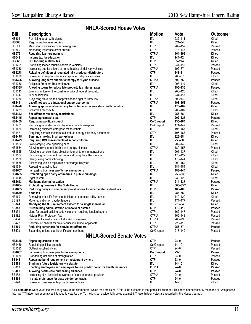### **NHLA-Scored House Votes**

| <u>Bill</u>             | <b>Description</b>                                                               | <b>Motion</b>      | <u>Vote</u>       | Outcome <sup>*</sup> |
|-------------------------|----------------------------------------------------------------------------------|--------------------|-------------------|----------------------|
| <b>HB304</b>            | Permitting death with dignity                                                    | ITL                | 232-114           | Killed               |
| <b>HB368</b>            | Regulating homeschooling                                                         | ITL                | $324 - 34$        | Killed               |
| HB561                   | Mandating insurance cover hearing loss                                           | OTP                | 209-157           | Passed               |
| HB569                   | Mandating insurance cover autism                                                 | <b>OTP</b>         | 213-147           | Passed               |
| <b>HB579</b>            | <b>Requiring learners permits</b>                                                | OTP/A              | 164-192           | Killed               |
| <b>HB642</b>            | Income tax for education                                                         | ITL                | 244–72            | Killed               |
| <b>HB665</b>            | DUI for drug metabolites                                                         | 0TP                | 85-274            | Killed               |
| HB1201                  | Prohibiting loaded muzzleloaders in vehicles                                     | 0TP                | 241-115           | Passed               |
| HB1230                  | Increasing age for drivers of home heating oil delivery vehicles                 | OTP/A              | 192-87            | Passed               |
| <b>HB1278</b>           | Relaxing definition of regulated milk producer-distributors                      | 0TP                | $343 - 8$         | Passed               |
| HB1290                  | Increasing exemptions for unincorporated religious societies                     | ITL.               | 206-87            | Killed               |
| <b>HB1326</b>           | Allowing long-term antibiotic therapy for Lyme disease                           | OTP/A              | $300 - 56$        | Passed               |
| HB1330                  | Religious Freedom Restoration Act                                                | ITL                | 203-119           | Killed               |
| <b>HB1335</b>           | Allowing towns to reduce late property tax interest rates                        | OTP/A              | 195-136           | Passed               |
| HB1343                  | Joint committee on the constitutionality of federal laws, etc.                   | ITL                | 208-123           | Killed               |
| HB1347                  | Jury nullification                                                               | ITL                | 234-113           | Killed               |
| HB1356                  | Subjecting state-funded nonprofits to the right-to-know law                      | OTP/A              | 80-214            | Killed               |
| <b>HB1411</b>           | Layoff notices to educational support personnel                                  | OTP/A              | 198-153           | Passed               |
| HB1428                  | Allowing spouses who remarry to continue to receive state death benefits         | ITL                | 173-169           | Killed               |
| HB1433                  | Firearms Freedom Act                                                             | ITL                | 205-107           | Killed               |
| <b>HB1442</b>           | Sex offender residency restrictions                                              | ITL.               | 253-88            | Killed               |
| <b>HB1445</b>           | Repealing campsite tax                                                           | 0TP                | 202-125           | Passed               |
| <b>HB1459</b>           | <b>Regulating political speech</b>                                               | CofC report        | 135-184           | Killed               |
| HB1461<br>HB1464        | Permitting regulation of display of martial arts weapons                         | CofC report        | 174–147           | Passed               |
|                         | Increasing business enterprise tax threshold                                     | ITL                | 196-167           | Killed               |
| HB1471<br><b>HB1475</b> | Requiring home inspectors to distribute energy efficiency documents              | <b>OTP</b><br>ITL. | 195-167<br>226-88 | Passed<br>Killed     |
| <b>HB1479</b>           | Banning smoking in all workplaces<br>Requiring BMI assessments of schoolchildren | ITL.               | 256-58            | Killed               |
| HB1522                  | Law clarifying local spending caps                                               | ITL                | 202-148           | Killed               |
| HB1554                  | Allowing towns to establish clean energy districts                               | OTP/A              | 180-155           | Passed               |
| HB1555                  | Allowing a conscientious objection to mandatory immunizations                    | ITL                | 201-137           | Killed               |
| HB1564                  | Eliminating requirement that county attorney be a Bar member                     | ITL                | 170-122           | Killed               |
| HB1580                  | Deregulating homeschooling                                                       | ITL                | 175-144           | Killed               |
| HB1588                  | Eliminating vehicle registration surcharge this year                             | ITL                | 200-154           | Killed               |
| HB1594                  | Repealing gambling tax                                                           | ITL                | 184–181           | Killed               |
| <b>HB1607</b>           | Increasing business profits tax exemptions                                       | OTP/A              | 183-144           | Passed               |
| <b>HB1635</b>           | Prohibiting open carry of firearms in public buildings                           | ITL.               | 256–33            | Killed               |
| HB1645                  | Right to work                                                                    | ITL                | 232-122           | Killed               |
| <b>HB1653</b>           | Marijuana decriminalization                                                      | OTP/A              | 214-137           | Passed               |
| <b>HB1654</b>           | Prohibiting firearms in the State House                                          | ITL                | $300 - 35**$      | Killed               |
| <b>HB1655</b>           | Reducing delays in competency evaluations for incarcerated individuals           | <b>OTP</b>         | 180-100           | Passed               |
| <b>HB1679</b>           | Soda tax                                                                         | ITL.               | 288-65            | Killed               |
| HB1691                  | Removing cable TV from the definition of protected utility service               | ITL                | 140-129           | Killed               |
| SB193                   | More regulation on payday lenders                                                | ITL                | 174-177           | Passed               |
| <b>SB344</b>            | Modifying the N.H. retirement system for a single individual                     | ITL.               | 270-84            | Killed               |
| SB353                   | Streamlining administration of insolvent estates                                 | 0TP                | 170-116           | Passed               |
| SB354                   | Liens for unpaid building code violations; requiring landlord agents             | <b>OTP</b>         | 162-147           | Passed               |
| SB382                   | Natural Plant Protection Act                                                     | OTP/A              | 169-143           | Passed               |
| SB464                   | Permanent speed limits on Lake Winnipesaukee                                     | OTP/A              | 268-79            | Passed               |
| <b>SB477</b>            | Background checks for driver education school applicants                         | <b>OTP</b>         | 225-115           | Passed               |
| <b>SB500</b>            | Reducing sentences for nonviolent offenders                                      | OTP/A              | 256-57            | Passed               |
| SB503                   | Expanding unique pupil identification numbers                                    | CofC report        | 218-142           | Passed               |
|                         | <b>NHLA-Scored Senate Votes</b>                                                  |                    |                   |                      |
| HB1445                  | Repealing campsite tax                                                           | <b>OTP</b>         | $24 - 0$          | Passed               |
| HB1459                  | Regulating political speech                                                      | CofC report        | $14 - 10$         | Passed               |
| HB1523                  | Outlawing cyberbullying                                                          | <b>OTP</b>         | 24-0              | Passed               |
| <b>HB1607</b>           | Increasing business profits tax exemptions                                       | CofC report        | $23 - 1$          | Passed               |
| HB1634                  | Broadening definition of strangulation                                           | 0TP                | $24 - 0$          | Passed               |
| <b>SB342</b>            | Repealing bond requirement on restaurant owners                                  | 0TP                | $23 - 0$          | Passed               |
| <b>SB381</b>            | Binding a future legislature via statute                                         | ITL                | 14-10             | Killed               |
| <b>SB390</b>            | Enabling employees and employers to use pre-tax dollar for health insurance      | OTP/A              | $24 - 0$          | Passed               |
| <b>SB408</b>            | Allowing health care purchasing alliances                                        | 0TP                | $24 - 0$          | Passed               |
| SB452                   | Increasing N.H. jurisdiction over out-of-state insurance providers               | OTP/A              | $24 - 0$          | Passed               |
| SB491                   | In-state preference for state vendor contracts                                   | OTP                | $24 - 0$          | Passed               |
| SB496                   | Increasing business enterprise tax exemptions                                    | ITL                | $14 - 10$         | Killed               |

Bills in boldface were voted the pro-liberty way in the chamber for which they are listed. \*This is the outcome in that particular chamber. This does not necessarily mean the bill was passed into law. \*\*Thirteen representatives intended to vote *for* the ITL motion, but accidentally voted against it. These thirteen votes are recorded in the House Journal.